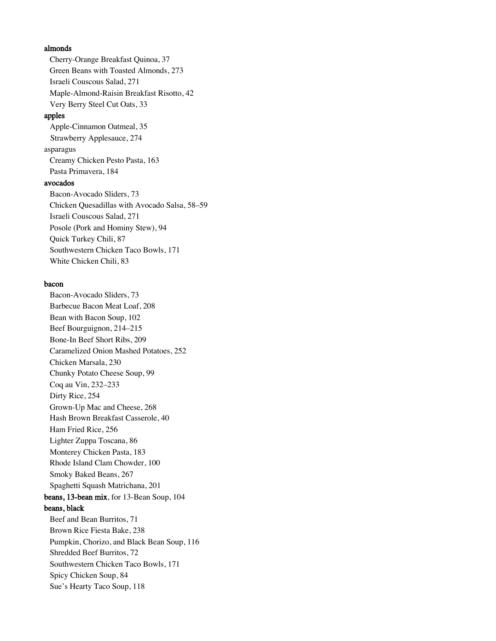#### almonds

Cherry-Orange Breakfast Quinoa, 37 Green Beans with Toasted Almonds, 273 Israeli Couscous Salad, 271 Maple-Almond-Raisin Breakfast Risotto, 42 Very Berry Steel Cut Oats, 33

# apples

Apple-Cinnamon Oatmeal, 35 Strawberry Applesauce, 274 asparagus Creamy Chicken Pesto Pasta, 163 Pasta Primavera, 184

# avocados

Bacon-Avocado Sliders, 73 Chicken Quesadillas with Avocado Salsa, 58–59 Israeli Couscous Salad, 271 Posole (Pork and Hominy Stew), 94 Quick Turkey Chili, 87 Southwestern Chicken Taco Bowls, 171 White Chicken Chili, 83

#### bacon

Bacon-Avocado Sliders, 73 Barbecue Bacon Meat Loaf, 208 Bean with Bacon Soup, 102 Beef Bourguignon, 214–215 Bone-In Beef Short Ribs, 209 Caramelized Onion Mashed Potatoes, 252 Chicken Marsala, 230 Chunky Potato Cheese Soup, 99 Coq au Vin, 232–233 Dirty Rice, 254 Grown-Up Mac and Cheese, 268 Hash Brown Breakfast Casserole, 40 Ham Fried Rice, 256 Lighter Zuppa Toscana, 86 Monterey Chicken Pasta, 183 Rhode Island Clam Chowder, 100 Smoky Baked Beans, 267 Spaghetti Squash Matrichana, 201 beans, 13-bean mix, for 13-Bean Soup, 104 beans, black Beef and Bean Burritos, 71 Brown Rice Fiesta Bake, 238 Pumpkin, Chorizo, and Black Bean Soup, 116 Shredded Beef Burritos, 72 Southwestern Chicken Taco Bowls, 171 Spicy Chicken Soup, 84 Sue's Hearty Taco Soup, 118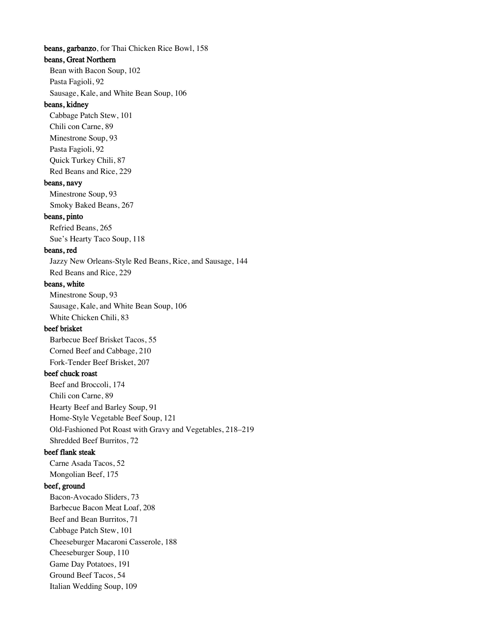beans, garbanzo, for Thai Chicken Rice Bowl, 158 beans, Great Northern Bean with Bacon Soup, 102 Pasta Fagioli, 92 Sausage, Kale, and White Bean Soup, 106 beans, kidney Cabbage Patch Stew, 101 Chili con Carne, 89 Minestrone Soup, 93 Pasta Fagioli, 92 Quick Turkey Chili, 87 Red Beans and Rice, 229 beans, navy Minestrone Soup, 93 Smoky Baked Beans, 267 beans, pinto Refried Beans, 265 Sue's Hearty Taco Soup, 118 beans, red Jazzy New Orleans-Style Red Beans, Rice, and Sausage, 144 Red Beans and Rice, 229 beans, white Minestrone Soup, 93 Sausage, Kale, and White Bean Soup, 106 White Chicken Chili, 83 beef brisket Barbecue Beef Brisket Tacos, 55 Corned Beef and Cabbage, 210 Fork-Tender Beef Brisket, 207 beef chuck roast Beef and Broccoli, 174 Chili con Carne, 89 Hearty Beef and Barley Soup, 91 Home-Style Vegetable Beef Soup, 121 Old-Fashioned Pot Roast with Gravy and Vegetables, 218–219 Shredded Beef Burritos, 72 beef flank steak Carne Asada Tacos, 52 Mongolian Beef, 175 beef, ground Bacon-Avocado Sliders, 73 Barbecue Bacon Meat Loaf, 208 Beef and Bean Burritos, 71 Cabbage Patch Stew, 101 Cheeseburger Macaroni Casserole, 188 Cheeseburger Soup, 110 Game Day Potatoes, 191 Ground Beef Tacos, 54 Italian Wedding Soup, 109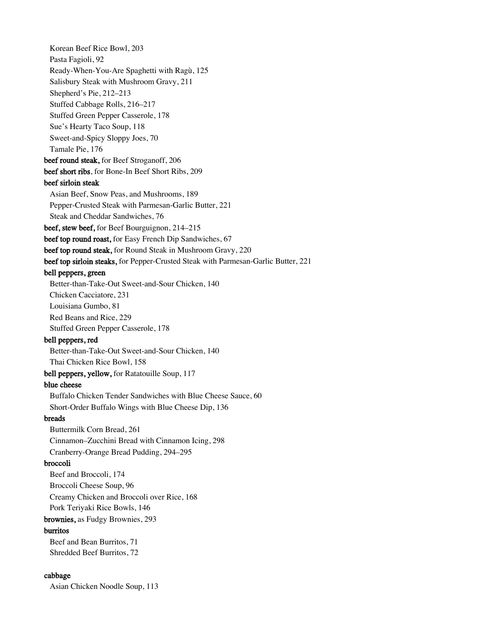Korean Beef Rice Bowl, 203 Pasta Fagioli, 92 Ready-When-You-Are Spaghetti with Ragù, 125 Salisbury Steak with Mushroom Gravy, 211 Shepherd's Pie, 212–213 Stuffed Cabbage Rolls, 216–217 Stuffed Green Pepper Casserole, 178 Sue's Hearty Taco Soup, 118 Sweet-and-Spicy Sloppy Joes, 70 Tamale Pie, 176 beef round steak, for Beef Stroganoff, 206 beef short ribs, for Bone-In Beef Short Ribs, 209 beef sirloin steak Asian Beef, Snow Peas, and Mushrooms, 189 Pepper-Crusted Steak with Parmesan-Garlic Butter, 221 Steak and Cheddar Sandwiches, 76 beef, stew beef, for Beef Bourguignon, 214–215 beef top round roast, for Easy French Dip Sandwiches, 67 beef top round steak, for Round Steak in Mushroom Gravy, 220 beef top sirloin steaks, for Pepper-Crusted Steak with Parmesan-Garlic Butter, 221 bell peppers, green Better-than-Take-Out Sweet-and-Sour Chicken, 140 Chicken Cacciatore, 231 Louisiana Gumbo, 81 Red Beans and Rice, 229 Stuffed Green Pepper Casserole, 178 bell peppers, red Better-than-Take-Out Sweet-and-Sour Chicken, 140 Thai Chicken Rice Bowl, 158 bell peppers, yellow, for Ratatouille Soup, 117 blue cheese Buffalo Chicken Tender Sandwiches with Blue Cheese Sauce, 60 Short-Order Buffalo Wings with Blue Cheese Dip, 136 breads Buttermilk Corn Bread, 261 Cinnamon–Zucchini Bread with Cinnamon Icing, 298 Cranberry-Orange Bread Pudding, 294–295 broccoli Beef and Broccoli, 174 Broccoli Cheese Soup, 96 Creamy Chicken and Broccoli over Rice, 168 Pork Teriyaki Rice Bowls, 146 brownies, as Fudgy Brownies, 293 burritos Beef and Bean Burritos, 71 Shredded Beef Burritos, 72 cabbage

Asian Chicken Noodle Soup, 113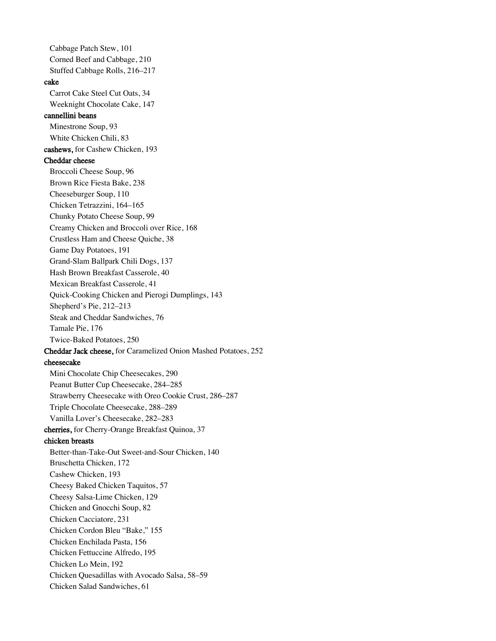Cabbage Patch Stew, 101 Corned Beef and Cabbage, 210 Stuffed Cabbage Rolls, 216–217 cake Carrot Cake Steel Cut Oats, 34 Weeknight Chocolate Cake, 147 cannellini beans Minestrone Soup, 93 White Chicken Chili, 83 cashews, for Cashew Chicken, 193 Cheddar cheese Broccoli Cheese Soup, 96 Brown Rice Fiesta Bake, 238 Cheeseburger Soup, 110 Chicken Tetrazzini, 164–165 Chunky Potato Cheese Soup, 99 Creamy Chicken and Broccoli over Rice, 168 Crustless Ham and Cheese Quiche, 38 Game Day Potatoes, 191 Grand-Slam Ballpark Chili Dogs, 137 Hash Brown Breakfast Casserole, 40 Mexican Breakfast Casserole, 41 Quick-Cooking Chicken and Pierogi Dumplings, 143 Shepherd's Pie, 212–213 Steak and Cheddar Sandwiches, 76 Tamale Pie, 176 Twice-Baked Potatoes, 250 Cheddar Jack cheese, for Caramelized Onion Mashed Potatoes, 252 cheesecake Mini Chocolate Chip Cheesecakes, 290 Peanut Butter Cup Cheesecake, 284–285 Strawberry Cheesecake with Oreo Cookie Crust, 286–287 Triple Chocolate Cheesecake, 288–289 Vanilla Lover's Cheesecake, 282–283 cherries, for Cherry-Orange Breakfast Quinoa, 37 chicken breasts Better-than-Take-Out Sweet-and-Sour Chicken, 140 Bruschetta Chicken, 172 Cashew Chicken, 193 Cheesy Baked Chicken Taquitos, 57 Cheesy Salsa-Lime Chicken, 129 Chicken and Gnocchi Soup, 82 Chicken Cacciatore, 231 Chicken Cordon Bleu "Bake," 155 Chicken Enchilada Pasta, 156 Chicken Fettuccine Alfredo, 195 Chicken Lo Mein, 192 Chicken Quesadillas with Avocado Salsa, 58–59 Chicken Salad Sandwiches, 61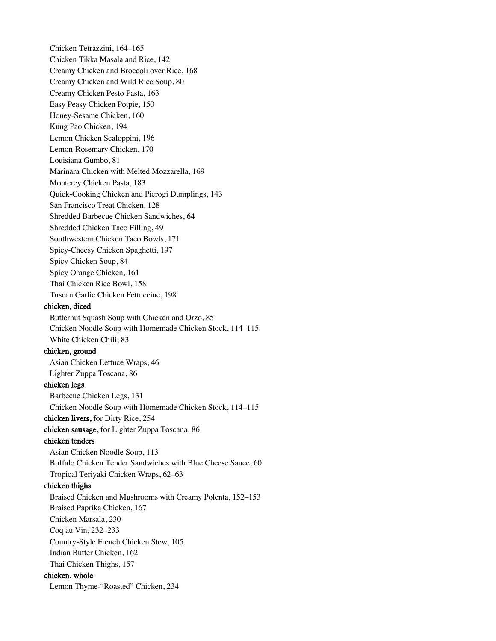Chicken Tetrazzini, 164–165 Chicken Tikka Masala and Rice, 142 Creamy Chicken and Broccoli over Rice, 168 Creamy Chicken and Wild Rice Soup, 80 Creamy Chicken Pesto Pasta, 163 Easy Peasy Chicken Potpie, 150 Honey-Sesame Chicken, 160 Kung Pao Chicken, 194 Lemon Chicken Scaloppini, 196 Lemon-Rosemary Chicken, 170 Louisiana Gumbo, 81 Marinara Chicken with Melted Mozzarella, 169 Monterey Chicken Pasta, 183 Quick-Cooking Chicken and Pierogi Dumplings, 143 San Francisco Treat Chicken, 128 Shredded Barbecue Chicken Sandwiches, 64 Shredded Chicken Taco Filling, 49 Southwestern Chicken Taco Bowls, 171 Spicy-Cheesy Chicken Spaghetti, 197 Spicy Chicken Soup, 84 Spicy Orange Chicken, 161 Thai Chicken Rice Bowl, 158 Tuscan Garlic Chicken Fettuccine, 198 chicken, diced Butternut Squash Soup with Chicken and Orzo, 85 Chicken Noodle Soup with Homemade Chicken Stock, 114–115

White Chicken Chili, 83

# chicken, ground

Asian Chicken Lettuce Wraps, 46 Lighter Zuppa Toscana, 86

# chicken legs

Barbecue Chicken Legs, 131 Chicken Noodle Soup with Homemade Chicken Stock, 114–115 chicken livers, for Dirty Rice, 254

chicken sausage, for Lighter Zuppa Toscana, 86

# chicken tenders

Asian Chicken Noodle Soup, 113 Buffalo Chicken Tender Sandwiches with Blue Cheese Sauce, 60 Tropical Teriyaki Chicken Wraps, 62–63

# chicken thighs

Braised Chicken and Mushrooms with Creamy Polenta, 152–153 Braised Paprika Chicken, 167 Chicken Marsala, 230 Coq au Vin, 232–233 Country-Style French Chicken Stew, 105 Indian Butter Chicken, 162 Thai Chicken Thighs, 157 chicken, whole Lemon Thyme-"Roasted" Chicken, 234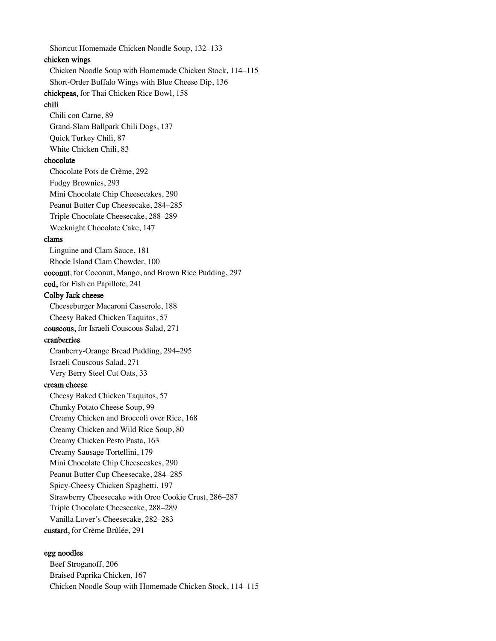Shortcut Homemade Chicken Noodle Soup, 132–133 chicken wings Chicken Noodle Soup with Homemade Chicken Stock, 114–115 Short-Order Buffalo Wings with Blue Cheese Dip, 136 chickpeas, for Thai Chicken Rice Bowl, 158 chili Chili con Carne, 89 Grand-Slam Ballpark Chili Dogs, 137 Quick Turkey Chili, 87 White Chicken Chili, 83 chocolate Chocolate Pots de Crème, 292 Fudgy Brownies, 293 Mini Chocolate Chip Cheesecakes, 290 Peanut Butter Cup Cheesecake, 284–285 Triple Chocolate Cheesecake, 288–289 Weeknight Chocolate Cake, 147 clams Linguine and Clam Sauce, 181 Rhode Island Clam Chowder, 100 coconut, for Coconut, Mango, and Brown Rice Pudding, 297 cod, for Fish en Papillote, 241 Colby Jack cheese Cheeseburger Macaroni Casserole, 188 Cheesy Baked Chicken Taquitos, 57 couscous, for Israeli Couscous Salad, 271 cranberries Cranberry-Orange Bread Pudding, 294–295 Israeli Couscous Salad, 271 Very Berry Steel Cut Oats, 33 cream cheese Cheesy Baked Chicken Taquitos, 57 Chunky Potato Cheese Soup, 99 Creamy Chicken and Broccoli over Rice, 168 Creamy Chicken and Wild Rice Soup, 80 Creamy Chicken Pesto Pasta, 163 Creamy Sausage Tortellini, 179 Mini Chocolate Chip Cheesecakes, 290 Peanut Butter Cup Cheesecake, 284–285 Spicy-Cheesy Chicken Spaghetti, 197 Strawberry Cheesecake with Oreo Cookie Crust, 286–287 Triple Chocolate Cheesecake, 288–289 Vanilla Lover's Cheesecake, 282–283 custard, for Crème Brûlée, 291

# egg noodles

Beef Stroganoff, 206 Braised Paprika Chicken, 167 Chicken Noodle Soup with Homemade Chicken Stock, 114–115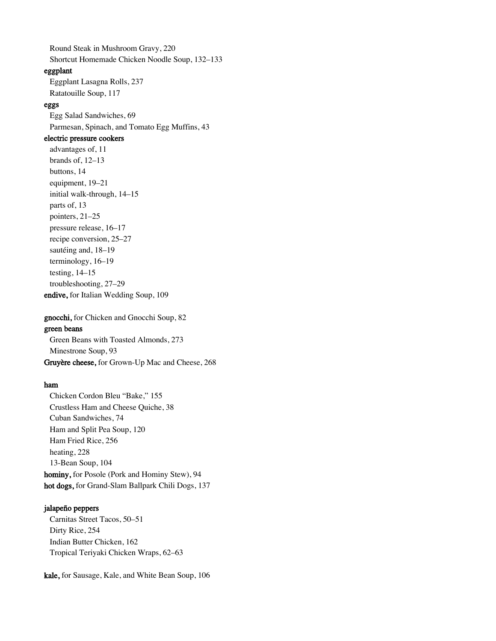Round Steak in Mushroom Gravy, 220 Shortcut Homemade Chicken Noodle Soup, 132–133

# eggplant

Eggplant Lasagna Rolls, 237 Ratatouille Soup, 117

#### eggs

Egg Salad Sandwiches, 69 Parmesan, Spinach, and Tomato Egg Muffins, 43

# electric pressure cookers

advantages of, 11 brands of, 12–13 buttons, 14 equipment, 19–21 initial walk-through, 14–15 parts of, 13 pointers, 21–25 pressure release, 16–17 recipe conversion, 25–27 sautéing and, 18–19 terminology, 16–19 testing, 14–15 troubleshooting, 27–29 endive, for Italian Wedding Soup, 109

gnocchi, for Chicken and Gnocchi Soup, 82 green beans Green Beans with Toasted Almonds, 273 Minestrone Soup, 93

Gruyère cheese, for Grown-Up Mac and Cheese, 268

#### ham

Chicken Cordon Bleu "Bake," 155 Crustless Ham and Cheese Quiche, 38 Cuban Sandwiches, 74 Ham and Split Pea Soup, 120 Ham Fried Rice, 256 heating, 228 13-Bean Soup, 104 hominy, for Posole (Pork and Hominy Stew), 94 hot dogs, for Grand-Slam Ballpark Chili Dogs, 137

#### jalapeño peppers

Carnitas Street Tacos, 50–51 Dirty Rice, 254 Indian Butter Chicken, 162 Tropical Teriyaki Chicken Wraps, 62–63

kale, for Sausage, Kale, and White Bean Soup, 106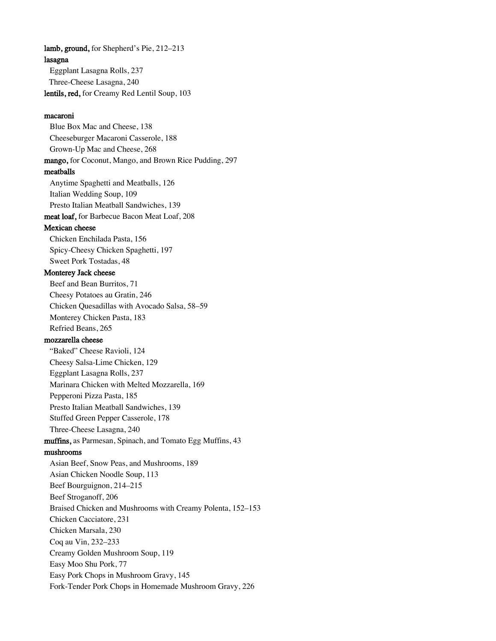lasagna Eggplant Lasagna Rolls, 237 Three-Cheese Lasagna, 240 lentils, red, for Creamy Red Lentil Soup, 103 macaroni Blue Box Mac and Cheese, 138 Cheeseburger Macaroni Casserole, 188 Grown-Up Mac and Cheese, 268 mango, for Coconut, Mango, and Brown Rice Pudding, 297 meatballs Anytime Spaghetti and Meatballs, 126 Italian Wedding Soup, 109 Presto Italian Meatball Sandwiches, 139 meat loaf, for Barbecue Bacon Meat Loaf, 208 Mexican cheese Chicken Enchilada Pasta, 156 Spicy-Cheesy Chicken Spaghetti, 197 Sweet Pork Tostadas, 48 Monterey Jack cheese Beef and Bean Burritos, 71 Cheesy Potatoes au Gratin, 246 Chicken Quesadillas with Avocado Salsa, 58–59 Monterey Chicken Pasta, 183 Refried Beans, 265 mozzarella cheese "Baked" Cheese Ravioli, 124 Cheesy Salsa-Lime Chicken, 129 Eggplant Lasagna Rolls, 237 Marinara Chicken with Melted Mozzarella, 169 Pepperoni Pizza Pasta, 185 Presto Italian Meatball Sandwiches, 139 Stuffed Green Pepper Casserole, 178 Three-Cheese Lasagna, 240 muffins, as Parmesan, Spinach, and Tomato Egg Muffins, 43 mushrooms Asian Beef, Snow Peas, and Mushrooms, 189 Asian Chicken Noodle Soup, 113 Beef Bourguignon, 214–215 Beef Stroganoff, 206 Braised Chicken and Mushrooms with Creamy Polenta, 152–153 Chicken Cacciatore, 231 Chicken Marsala, 230 Coq au Vin, 232–233 Creamy Golden Mushroom Soup, 119 Easy Moo Shu Pork, 77 Easy Pork Chops in Mushroom Gravy, 145 Fork-Tender Pork Chops in Homemade Mushroom Gravy, 226

lamb, ground, for Shepherd's Pie, 212–213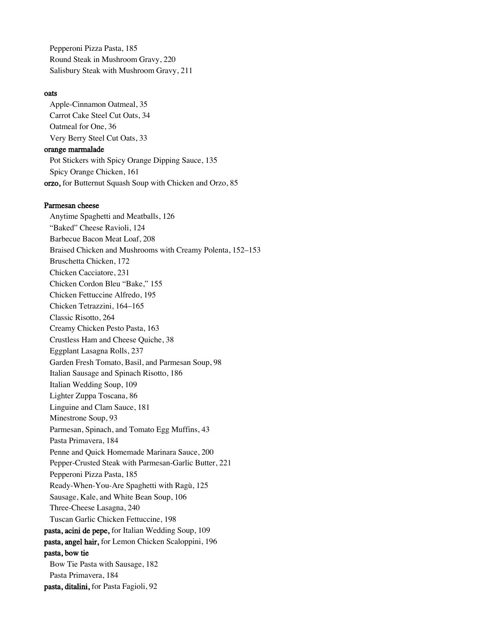Pepperoni Pizza Pasta, 185 Round Steak in Mushroom Gravy, 220 Salisbury Steak with Mushroom Gravy, 211

#### oats

Apple-Cinnamon Oatmeal, 35 Carrot Cake Steel Cut Oats, 34 Oatmeal for One, 36 Very Berry Steel Cut Oats, 33 orange marmalade Pot Stickers with Spicy Orange Dipping Sauce, 135 Spicy Orange Chicken, 161 orzo, for Butternut Squash Soup with Chicken and Orzo, 85

#### Parmesan cheese

Anytime Spaghetti and Meatballs, 126 "Baked" Cheese Ravioli, 124 Barbecue Bacon Meat Loaf, 208 Braised Chicken and Mushrooms with Creamy Polenta, 152–153 Bruschetta Chicken, 172 Chicken Cacciatore, 231 Chicken Cordon Bleu "Bake," 155 Chicken Fettuccine Alfredo, 195 Chicken Tetrazzini, 164–165 Classic Risotto, 264 Creamy Chicken Pesto Pasta, 163 Crustless Ham and Cheese Quiche, 38 Eggplant Lasagna Rolls, 237 Garden Fresh Tomato, Basil, and Parmesan Soup, 98 Italian Sausage and Spinach Risotto, 186 Italian Wedding Soup, 109 Lighter Zuppa Toscana, 86 Linguine and Clam Sauce, 181 Minestrone Soup, 93 Parmesan, Spinach, and Tomato Egg Muffins, 43 Pasta Primavera, 184 Penne and Quick Homemade Marinara Sauce, 200 Pepper-Crusted Steak with Parmesan-Garlic Butter, 221 Pepperoni Pizza Pasta, 185 Ready-When-You-Are Spaghetti with Ragù, 125 Sausage, Kale, and White Bean Soup, 106 Three-Cheese Lasagna, 240 Tuscan Garlic Chicken Fettuccine, 198 pasta, acini de pepe, for Italian Wedding Soup, 109 pasta, angel hair, for Lemon Chicken Scaloppini, 196 pasta, bow tie Bow Tie Pasta with Sausage, 182 Pasta Primavera, 184 pasta, ditalini, for Pasta Fagioli, 92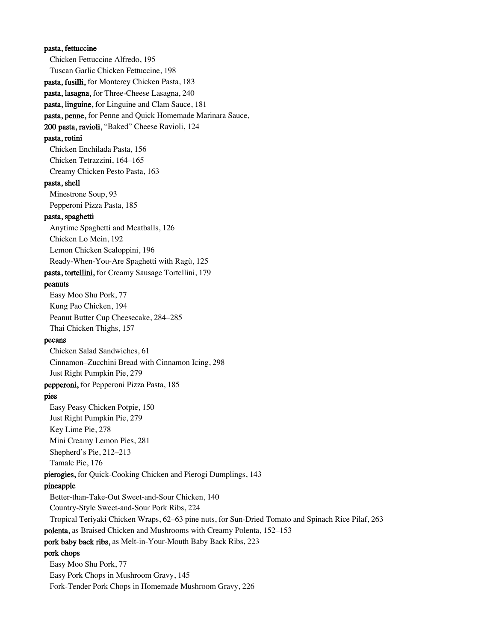pasta, fettuccine Chicken Fettuccine Alfredo, 195 Tuscan Garlic Chicken Fettuccine, 198 pasta, fusilli, for Monterey Chicken Pasta, 183 pasta, lasagna, for Three-Cheese Lasagna, 240 pasta, linguine, for Linguine and Clam Sauce, 181 pasta, penne, for Penne and Quick Homemade Marinara Sauce, 200 pasta, ravioli, "Baked" Cheese Ravioli, 124 pasta, rotini Chicken Enchilada Pasta, 156 Chicken Tetrazzini, 164–165 Creamy Chicken Pesto Pasta, 163 pasta, shell Minestrone Soup, 93 Pepperoni Pizza Pasta, 185 pasta, spaghetti Anytime Spaghetti and Meatballs, 126 Chicken Lo Mein, 192 Lemon Chicken Scaloppini, 196 Ready-When-You-Are Spaghetti with Ragù, 125 pasta, tortellini, for Creamy Sausage Tortellini, 179 peanuts Easy Moo Shu Pork, 77 Kung Pao Chicken, 194 Peanut Butter Cup Cheesecake, 284–285 Thai Chicken Thighs, 157 pecans Chicken Salad Sandwiches, 61 Cinnamon–Zucchini Bread with Cinnamon Icing, 298 Just Right Pumpkin Pie, 279 pepperoni, for Pepperoni Pizza Pasta, 185 pies Easy Peasy Chicken Potpie, 150 Just Right Pumpkin Pie, 279 Key Lime Pie, 278 Mini Creamy Lemon Pies, 281 Shepherd's Pie, 212–213 Tamale Pie, 176 pierogies, for Quick-Cooking Chicken and Pierogi Dumplings, 143 pineapple Better-than-Take-Out Sweet-and-Sour Chicken, 140 Country-Style Sweet-and-Sour Pork Ribs, 224 Tropical Teriyaki Chicken Wraps, 62–63 pine nuts, for Sun-Dried Tomato and Spinach Rice Pilaf, 263 polenta, as Braised Chicken and Mushrooms with Creamy Polenta, 152–153 pork baby back ribs, as Melt-in-Your-Mouth Baby Back Ribs, 223 pork chops Easy Moo Shu Pork, 77 Easy Pork Chops in Mushroom Gravy, 145 Fork-Tender Pork Chops in Homemade Mushroom Gravy, 226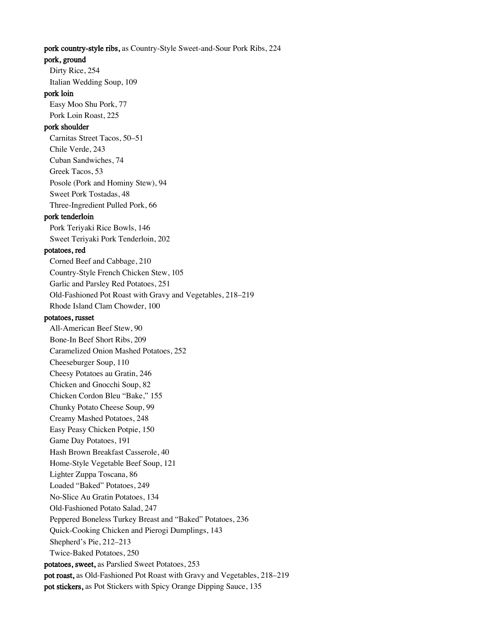#### pork country-style ribs, as Country-Style Sweet-and-Sour Pork Ribs, 224

#### pork, ground

Dirty Rice, 254 Italian Wedding Soup, 109

# pork loin

Easy Moo Shu Pork, 77 Pork Loin Roast, 225

#### pork shoulder

Carnitas Street Tacos, 50–51 Chile Verde, 243 Cuban Sandwiches, 74 Greek Tacos, 53 Posole (Pork and Hominy Stew), 94 Sweet Pork Tostadas, 48 Three-Ingredient Pulled Pork, 66

#### pork tenderloin

Pork Teriyaki Rice Bowls, 146 Sweet Teriyaki Pork Tenderloin, 202

#### potatoes, red

Corned Beef and Cabbage, 210 Country-Style French Chicken Stew, 105 Garlic and Parsley Red Potatoes, 251 Old-Fashioned Pot Roast with Gravy and Vegetables, 218–219 Rhode Island Clam Chowder, 100 potatoes, russet All-American Beef Stew, 90

Bone-In Beef Short Ribs, 209

Caramelized Onion Mashed Potatoes, 252

Cheeseburger Soup, 110

Cheesy Potatoes au Gratin, 246

Chicken and Gnocchi Soup, 82

Chicken Cordon Bleu "Bake," 155

Chunky Potato Cheese Soup, 99 Creamy Mashed Potatoes, 248

Easy Peasy Chicken Potpie, 150

Game Day Potatoes, 191

Hash Brown Breakfast Casserole, 40

Home-Style Vegetable Beef Soup, 121

Lighter Zuppa Toscana, 86

Loaded "Baked" Potatoes, 249

No-Slice Au Gratin Potatoes, 134

Old-Fashioned Potato Salad, 247

Peppered Boneless Turkey Breast and "Baked" Potatoes, 236

Quick-Cooking Chicken and Pierogi Dumplings, 143

Shepherd's Pie, 212–213

Twice-Baked Potatoes, 250

potatoes, sweet, as Parslied Sweet Potatoes, 253

pot roast, as Old-Fashioned Pot Roast with Gravy and Vegetables, 218–219

pot stickers, as Pot Stickers with Spicy Orange Dipping Sauce, 135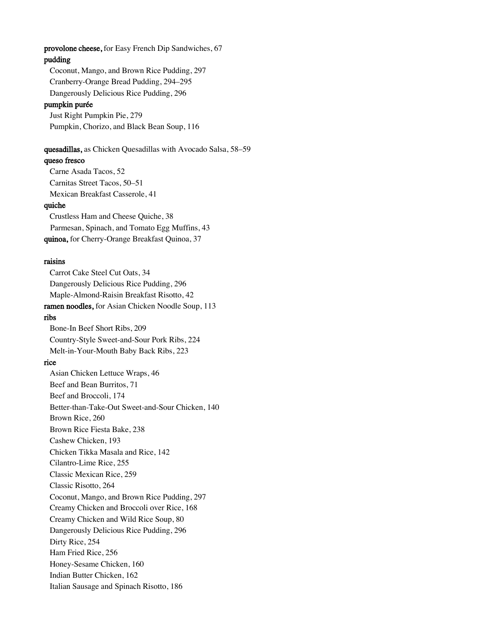provolone cheese, for Easy French Dip Sandwiches, 67

# pudding

Coconut, Mango, and Brown Rice Pudding, 297 Cranberry-Orange Bread Pudding, 294–295 Dangerously Delicious Rice Pudding, 296

#### pumpkin purée

Just Right Pumpkin Pie, 279 Pumpkin, Chorizo, and Black Bean Soup, 116

#### quesadillas, as Chicken Quesadillas with Avocado Salsa, 58–59

#### queso fresco

Carne Asada Tacos, 52 Carnitas Street Tacos, 50–51 Mexican Breakfast Casserole, 41

# quiche

Crustless Ham and Cheese Quiche, 38 Parmesan, Spinach, and Tomato Egg Muffins, 43 quinoa, for Cherry-Orange Breakfast Quinoa, 37

### raisins

Carrot Cake Steel Cut Oats, 34 Dangerously Delicious Rice Pudding, 296 Maple-Almond-Raisin Breakfast Risotto, 42 ramen noodles, for Asian Chicken Noodle Soup, 113 ribs Bone-In Beef Short Ribs, 209 Country-Style Sweet-and-Sour Pork Ribs, 224 Melt-in-Your-Mouth Baby Back Ribs, 223 rice Asian Chicken Lettuce Wraps, 46 Beef and Bean Burritos, 71 Beef and Broccoli, 174 Better-than-Take-Out Sweet-and-Sour Chicken, 140 Brown Rice, 260 Brown Rice Fiesta Bake, 238 Cashew Chicken, 193 Chicken Tikka Masala and Rice, 142 Cilantro-Lime Rice, 255 Classic Mexican Rice, 259 Classic Risotto, 264 Coconut, Mango, and Brown Rice Pudding, 297 Creamy Chicken and Broccoli over Rice, 168 Creamy Chicken and Wild Rice Soup, 80 Dangerously Delicious Rice Pudding, 296 Dirty Rice, 254 Ham Fried Rice, 256 Honey-Sesame Chicken, 160 Indian Butter Chicken, 162

Italian Sausage and Spinach Risotto, 186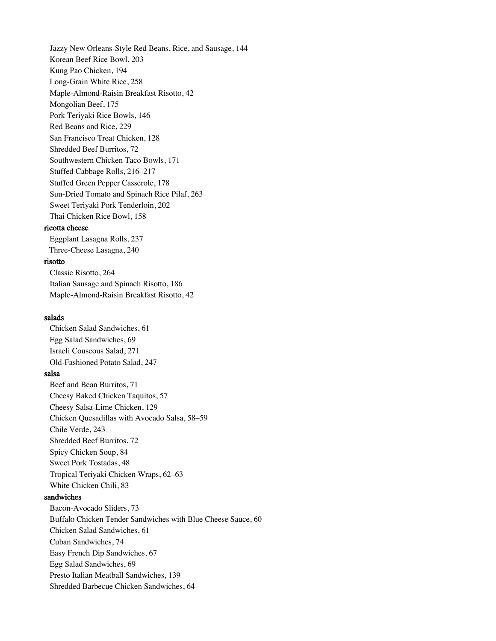Jazzy New Orleans-Style Red Beans, Rice, and Sausage, 144 Korean Beef Rice Bowl, 203 Kung Pao Chicken, 194 Long-Grain White Rice, 258 Maple-Almond-Raisin Breakfast Risotto, 42 Mongolian Beef, 175 Pork Teriyaki Rice Bowls, 146 Red Beans and Rice, 229 San Francisco Treat Chicken, 128 Shredded Beef Burritos, 72 Southwestern Chicken Taco Bowls, 171 Stuffed Cabbage Rolls, 216–217 Stuffed Green Pepper Casserole, 178 Sun-Dried Tomato and Spinach Rice Pilaf, 263 Sweet Teriyaki Pork Tenderloin, 202 Thai Chicken Rice Bowl, 158 ricotta cheese

Eggplant Lasagna Rolls, 237 Three-Cheese Lasagna, 240

#### risotto

Classic Risotto, 264 Italian Sausage and Spinach Risotto, 186 Maple-Almond-Raisin Breakfast Risotto, 42

# salads

Chicken Salad Sandwiches, 61 Egg Salad Sandwiches, 69 Israeli Couscous Salad, 271 Old-Fashioned Potato Salad, 247 salsa Beef and Bean Burritos, 71 Cheesy Baked Chicken Taquitos, 57 Cheesy Salsa-Lime Chicken, 129 Chicken Quesadillas with Avocado Salsa, 58–59 Chile Verde, 243 Shredded Beef Burritos, 72 Spicy Chicken Soup, 84 Sweet Pork Tostadas, 48 Tropical Teriyaki Chicken Wraps, 62–63 White Chicken Chili, 83 sandwiches Bacon-Avocado Sliders, 73 Buffalo Chicken Tender Sandwiches with Blue Cheese Sauce, 60 Chicken Salad Sandwiches, 61 Cuban Sandwiches, 74 Easy French Dip Sandwiches, 67 Egg Salad Sandwiches, 69 Presto Italian Meatball Sandwiches, 139 Shredded Barbecue Chicken Sandwiches, 64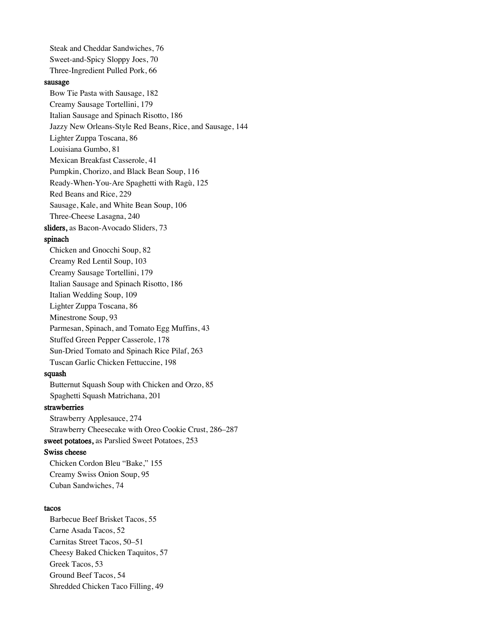Steak and Cheddar Sandwiches, 76 Sweet-and-Spicy Sloppy Joes, 70 Three-Ingredient Pulled Pork, 66 sausage Bow Tie Pasta with Sausage, 182 Creamy Sausage Tortellini, 179 Italian Sausage and Spinach Risotto, 186 Jazzy New Orleans-Style Red Beans, Rice, and Sausage, 144 Lighter Zuppa Toscana, 86 Louisiana Gumbo, 81 Mexican Breakfast Casserole, 41 Pumpkin, Chorizo, and Black Bean Soup, 116 Ready-When-You-Are Spaghetti with Ragù, 125 Red Beans and Rice, 229 Sausage, Kale, and White Bean Soup, 106 Three-Cheese Lasagna, 240 sliders, as Bacon-Avocado Sliders, 73 spinach Chicken and Gnocchi Soup, 82 Creamy Red Lentil Soup, 103 Creamy Sausage Tortellini, 179 Italian Sausage and Spinach Risotto, 186 Italian Wedding Soup, 109 Lighter Zuppa Toscana, 86 Minestrone Soup, 93 Parmesan, Spinach, and Tomato Egg Muffins, 43 Stuffed Green Pepper Casserole, 178 Sun-Dried Tomato and Spinach Rice Pilaf, 263 Tuscan Garlic Chicken Fettuccine, 198 squash Butternut Squash Soup with Chicken and Orzo, 85 Spaghetti Squash Matrichana, 201 strawberries Strawberry Applesauce, 274 Strawberry Cheesecake with Oreo Cookie Crust, 286–287 sweet potatoes, as Parslied Sweet Potatoes, 253 Swiss cheese Chicken Cordon Bleu "Bake," 155 Creamy Swiss Onion Soup, 95 Cuban Sandwiches, 74 tacos Barbecue Beef Brisket Tacos, 55

Carne Asada Tacos, 52 Carnitas Street Tacos, 50–51 Cheesy Baked Chicken Taquitos, 57 Greek Tacos, 53 Ground Beef Tacos, 54 Shredded Chicken Taco Filling, 49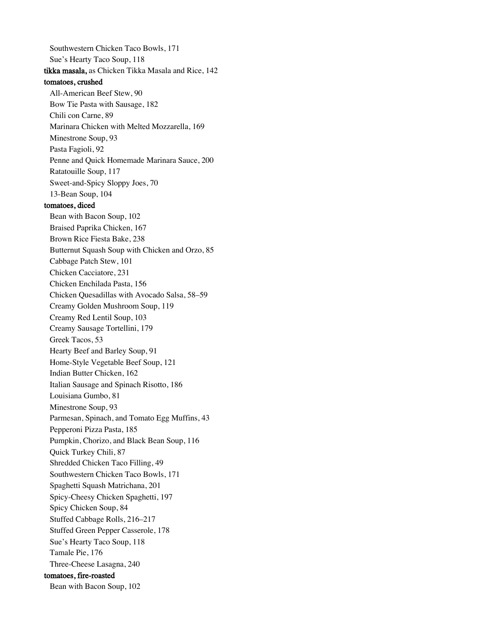Southwestern Chicken Taco Bowls, 171 Sue's Hearty Taco Soup, 118 tikka masala, as Chicken Tikka Masala and Rice, 142 tomatoes, crushed All-American Beef Stew, 90 Bow Tie Pasta with Sausage, 182 Chili con Carne, 89 Marinara Chicken with Melted Mozzarella, 169 Minestrone Soup, 93 Pasta Fagioli, 92 Penne and Quick Homemade Marinara Sauce, 200 Ratatouille Soup, 117 Sweet-and-Spicy Sloppy Joes, 70 13-Bean Soup, 104 tomatoes, diced Bean with Bacon Soup, 102 Braised Paprika Chicken, 167 Brown Rice Fiesta Bake, 238 Butternut Squash Soup with Chicken and Orzo, 85 Cabbage Patch Stew, 101 Chicken Cacciatore, 231 Chicken Enchilada Pasta, 156 Chicken Quesadillas with Avocado Salsa, 58–59 Creamy Golden Mushroom Soup, 119 Creamy Red Lentil Soup, 103 Creamy Sausage Tortellini, 179 Greek Tacos, 53 Hearty Beef and Barley Soup, 91 Home-Style Vegetable Beef Soup, 121 Indian Butter Chicken, 162 Italian Sausage and Spinach Risotto, 186 Louisiana Gumbo, 81 Minestrone Soup, 93 Parmesan, Spinach, and Tomato Egg Muffins, 43 Pepperoni Pizza Pasta, 185 Pumpkin, Chorizo, and Black Bean Soup, 116 Quick Turkey Chili, 87 Shredded Chicken Taco Filling, 49 Southwestern Chicken Taco Bowls, 171 Spaghetti Squash Matrichana, 201 Spicy-Cheesy Chicken Spaghetti, 197 Spicy Chicken Soup, 84 Stuffed Cabbage Rolls, 216–217 Stuffed Green Pepper Casserole, 178 Sue's Hearty Taco Soup, 118 Tamale Pie, 176 Three-Cheese Lasagna, 240 tomatoes, fire-roasted Bean with Bacon Soup, 102